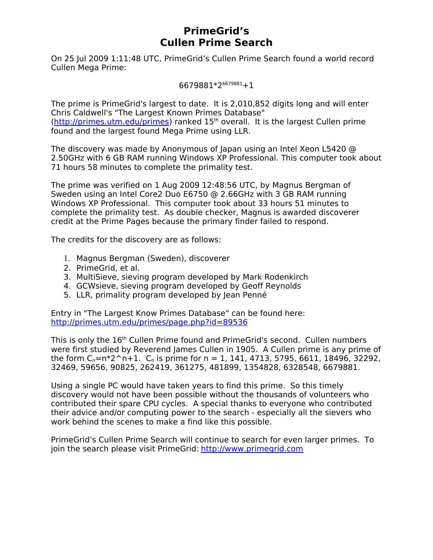# **PrimeGrid's Cullen Prime Search**

On 25 Jul 2009 1:11:48 UTC, PrimeGrid's Cullen Prime Search found a world record Cullen Mega Prime:

6679881\*2<sup>6679881</sup>+1

The prime is PrimeGrid's largest to date. It is 2,010,852 digits long and will enter Chris Caldwell's "The Largest Known Primes Database"  $(http://primes.utm.edu/primes)$  ranked  $15<sup>th</sup>$  overall. It is the largest Cullen prime found and the largest found Mega Prime using LLR.

The discovery was made by Anonymous of Japan using an Intel Xeon L5420 @ 2.50GHz with 6 GB RAM running Windows XP Professional. This computer took about 71 hours 58 minutes to complete the primality test.

The prime was verified on 1 Aug 2009 12:48:56 UTC, by Magnus Bergman of Sweden using an Intel Core2 Duo E6750 @ 2.66GHz with 3 GB RAM running Windows XP Professional. This computer took about 33 hours 51 minutes to complete the primality test. As double checker, Magnus is awarded discoverer credit at the Prime Pages because the primary finder failed to respond.

The credits for the discovery are as follows:

- 1. Magnus Bergman (Sweden), discoverer
- 2. PrimeGrid, et al.
- 3. MultiSieve, sieving program developed by Mark Rodenkirch
- 4. GCWsieve, sieving program developed by Geoff Reynolds
- 5. LLR, primality program developed by Jean Penné

Entry in "The Largest Know Primes Database" can be found here: [http://primes.utm.edu/primes/page.php?id=89536](http://primes.utm.edu/primes/page.php?id=87775)

This is only the 16<sup>th</sup> Cullen Prime found and PrimeGrid's second. Cullen numbers were first studied by Reverend James Cullen in 1905. A Cullen prime is any prime of the form  $C_n = n^2 \n^+1$ .  $C_n$  is prime for n = 1, 141, 4713, 5795, 6611, 18496, 32292, 32469, 59656, 90825, 262419, 361275, 481899, 1354828, 6328548, 6679881.

Using a single PC would have taken years to find this prime. So this timely discovery would not have been possible without the thousands of volunteers who contributed their spare CPU cycles. A special thanks to everyone who contributed their advice and/or computing power to the search - especially all the sievers who work behind the scenes to make a find like this possible.

PrimeGrid's Cullen Prime Search will continue to search for even larger primes. To join the search please visit PrimeGrid: [http://www.primegrid.com](http://www.primegrid.com/)